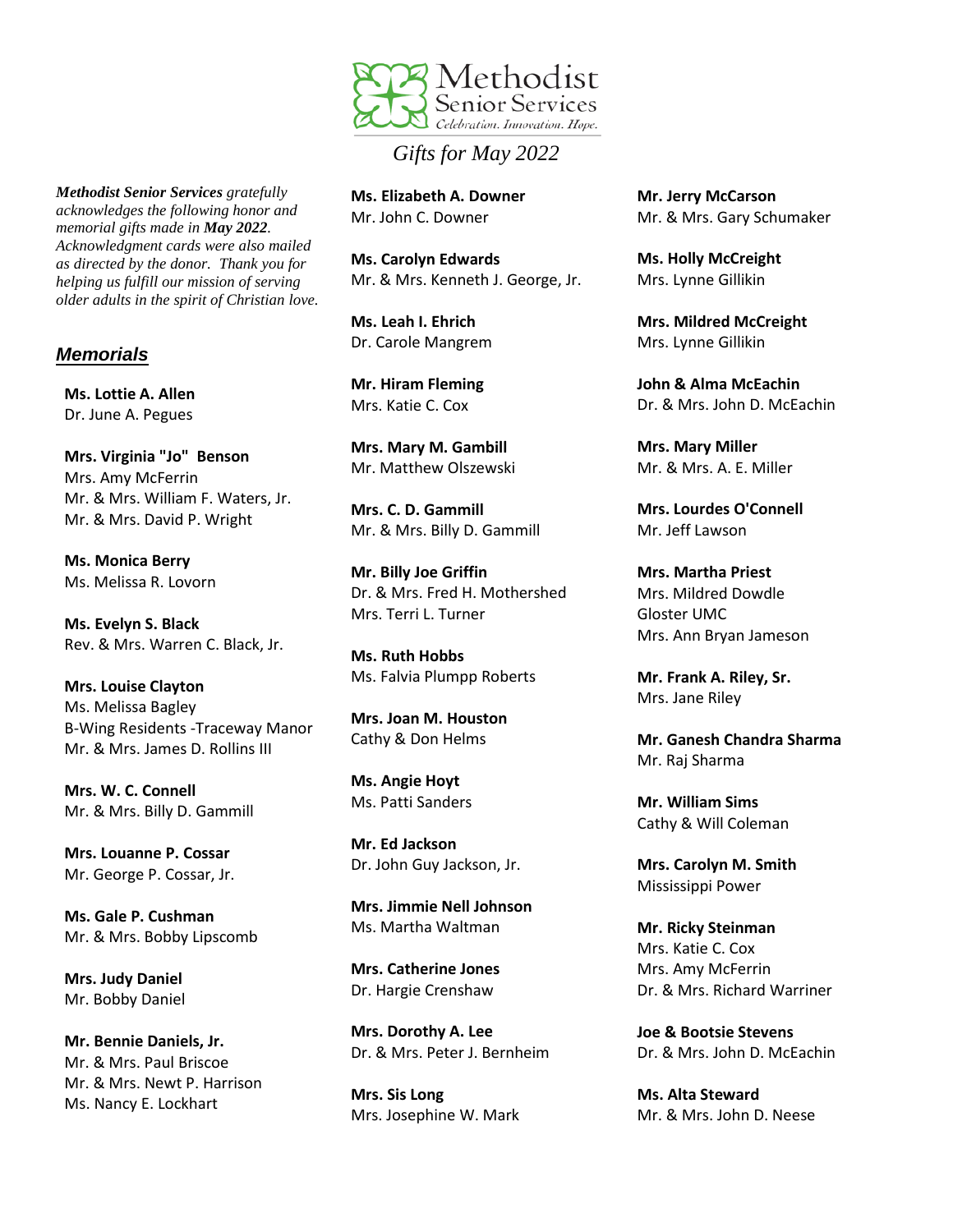

## *Gifts for May 2022*

**Ms. Elizabeth A. Downer** Mr. John C. Downer

**Ms. Carolyn Edwards** Mr. & Mrs. Kenneth J. George, Jr.

**Ms. Leah I. Ehrich** Dr. Carole Mangrem

**Mr. Hiram Fleming** Mrs. Katie C. Cox

**Mrs. Mary M. Gambill** Mr. Matthew Olszewski

**Mrs. C. D. Gammill** Mr. & Mrs. Billy D. Gammill

**Mr. Billy Joe Griffin** Dr. & Mrs. Fred H. Mothershed Mrs. Terri L. Turner

**Ms. Ruth Hobbs** Ms. Falvia Plumpp Roberts

**Mrs. Joan M. Houston** Cathy & Don Helms

**Ms. Angie Hoyt** Ms. Patti Sanders

**Mr. Ed Jackson** Dr. John Guy Jackson, Jr.

**Mrs. Jimmie Nell Johnson** Ms. Martha Waltman

**Mrs. Catherine Jones** Dr. Hargie Crenshaw

**Mrs. Dorothy A. Lee** Dr. & Mrs. Peter J. Bernheim

**Mrs. Sis Long** Mrs. Josephine W. Mark **Mr. Jerry McCarson** Mr. & Mrs. Gary Schumaker

**Ms. Holly McCreight** Mrs. Lynne Gillikin

**Mrs. Mildred McCreight** Mrs. Lynne Gillikin

**John & Alma McEachin** Dr. & Mrs. John D. McEachin

**Mrs. Mary Miller** Mr. & Mrs. A. E. Miller

**Mrs. Lourdes O'Connell** Mr. Jeff Lawson

**Mrs. Martha Priest** Mrs. Mildred Dowdle Gloster UMC Mrs. Ann Bryan Jameson

**Mr. Frank A. Riley, Sr.** Mrs. Jane Riley

**Mr. Ganesh Chandra Sharma** Mr. Raj Sharma

**Mr. William Sims** Cathy & Will Coleman

**Mrs. Carolyn M. Smith** Mississippi Power

**Mr. Ricky Steinman** Mrs. Katie C. Cox Mrs. Amy McFerrin Dr. & Mrs. Richard Warriner

**Joe & Bootsie Stevens** Dr. & Mrs. John D. McEachin

**Ms. Alta Steward** Mr. & Mrs. John D. Neese

*Methodist Senior Services gratefully acknowledges the following honor and memorial gifts made in May 2022. Acknowledgment cards were also mailed as directed by the donor. Thank you for helping us fulfill our mission of serving older adults in the spirit of Christian love.*

## *Memorials*

**Ms. Lottie A. Allen** Dr. June A. Pegues

**Mrs. Virginia "Jo" Benson** Mrs. Amy McFerrin Mr. & Mrs. William F. Waters, Jr. Mr. & Mrs. David P. Wright

**Ms. Monica Berry** Ms. Melissa R. Lovorn

**Ms. Evelyn S. Black** Rev. & Mrs. Warren C. Black, Jr.

**Mrs. Louise Clayton** Ms. Melissa Bagley B-Wing Residents -Traceway Manor Mr. & Mrs. James D. Rollins III

**Mrs. W. C. Connell** Mr. & Mrs. Billy D. Gammill

**Mrs. Louanne P. Cossar** Mr. George P. Cossar, Jr.

**Ms. Gale P. Cushman** Mr. & Mrs. Bobby Lipscomb

**Mrs. Judy Daniel** Mr. Bobby Daniel

**Mr. Bennie Daniels, Jr.** Mr. & Mrs. Paul Briscoe Mr. & Mrs. Newt P. Harrison Ms. Nancy E. Lockhart